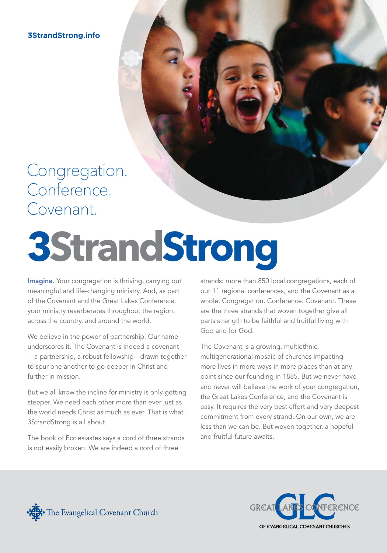**3StrandStrong.info**

### Congregation. Conference. Covenant.

# **3StrandStrong**

Imagine. Your congregation is thriving, carrying out meaningful and life-changing ministry. And, as part of the Covenant and the Great Lakes Conference, your ministry reverberates throughout the region, across the country, and around the world.

We believe in the power of partnership. Our name underscores it. The Covenant is indeed a covenant —a partnership, a robust fellowship—drawn together to spur one another to go deeper in Christ and further in mission.

But we all know the incline for ministry is only getting steeper. We need each other more than ever just as the world needs Christ as much as ever. That is what 3StrandStrong is all about.

The book of Ecclesiastes says a cord of three strands is not easily broken. We are indeed a cord of three

strands: more than 850 local congregations, each of our 11 regional conferences, and the Covenant as a whole. Congregation. Conference. Covenant. These are the three strands that woven together give all parts strength to be faithful and fruitful living with God and for God.

The Covenant is a growing, multiethnic, multigenerational mosaic of churches impacting more lives in more ways in more places than at any point since our founding in 1885. But we never have and never will believe the work of your congregation, the Great Lakes Conference, and the Covenant is easy. It requires the very best effort and very deepest commitment from every strand. On our own, we are less than we can be. But woven together, a hopeful and fruitful future awaits.



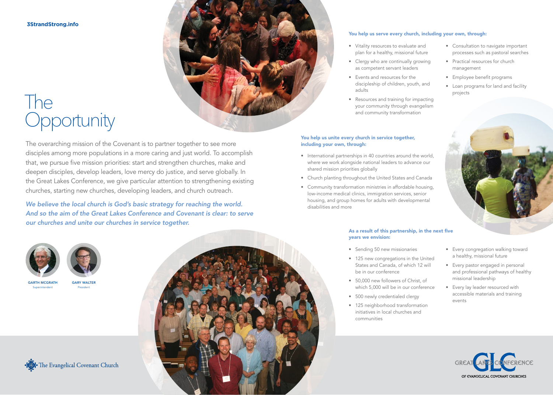**3StrandStrong.info**

## The **Opportunity**

The overarching mission of the Covenant is to partner together to see more disciples among more populations in a more caring and just world. To accomplish that, we pursue five mission priorities: start and strengthen churches, make and deepen disciples, develop leaders, love mercy do justice, and serve globally. In the Great Lakes Conference, we give particular attention to strengthening existing churches, starting new churches, developing leaders, and church outreach.

*We believe the local church is God's basic strategy for reaching the world. And so the aim of the Great Lakes Conference and Covenant is clear: to serve our churches and unite our churches in service together.*





GARY WALTER President

**GARTH MCGRATH** Superintendent





### You help us unite every church in service together, including your own, through:

adults

• International partnerships in 40 countries around the world, where we work alongside national leaders to advance our shared mission priorities globally

• Vitality resources to evaluate and plan for a healthy, missional future • Clergy who are continually growing as competent servant leaders • Events and resources for the

You help us serve every church, including your own, through:

discipleship of children, youth, and

• Resources and training for impacting your community through evangelism and community transformation

- Church planting throughout the United States and Canada
- Community transformation ministries in affordable housing, low-income medical clinics, immigration services, senior housing, and group homes for adults with developmental disabilities and more

### As a result of this partnership, in the next five years we envision:

- Sending 50 new missionaries
- 125 new congregations in the United States and Canada, of which 12 will be in our conference
- 50,000 new followers of Christ, of which 5,000 will be in our conference
- 500 newly credentialed clergy
- 125 neighborhood transformation initiatives in local churches and communities

processes such as pastoral searches • Practical resources for church management

• Consultation to navigate important

- Employee benefit programs
- Loan programs for land and facility projects



- Every congregation walking toward a healthy, missional future
- Every pastor engaged in personal and professional pathways of healthy missional leadership
- Every lay leader resourced with accessible materials and training events